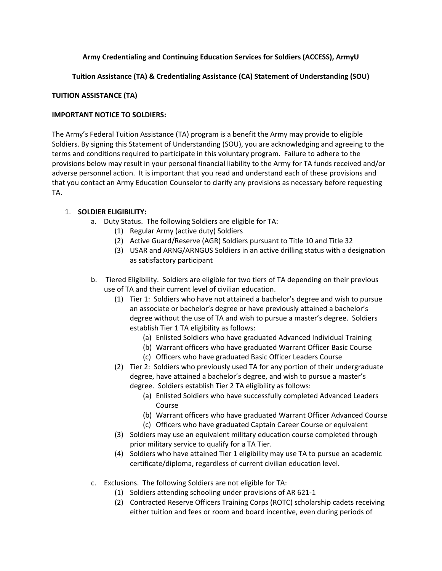## **Army Credentialing and Continuing Education Services for Soldiers (ACCESS), ArmyU**

## **Tuition Assistance (TA) & Credentialing Assistance (CA) Statement of Understanding (SOU)**

### **TUITION ASSISTANCE (TA)**

### **IMPORTANT NOTICE TO SOLDIERS:**

The Army's Federal Tuition Assistance (TA) program is a benefit the Army may provide to eligible Soldiers. By signing this Statement of Understanding (SOU), you are acknowledging and agreeing to the terms and conditions required to participate in this voluntary program. Failure to adhere to the provisions below may result in your personal financial liability to the Army for TA funds received and/or adverse personnel action. It is important that you read and understand each of these provisions and that you contact an Army Education Counselor to clarify any provisions as necessary before requesting TA.

### 1. **SOLDIER ELIGIBILITY:**

- a. Duty Status. The following Soldiers are eligible for TA:
	- (1) Regular Army (active duty) Soldiers
	- (2) Active Guard/Reserve (AGR) Soldiers pursuant to Title 10 and Title 32
	- (3) USAR and ARNG/ARNGUS Soldiers in an active drilling status with a designation as satisfactory participant
- b. Tiered Eligibility. Soldiers are eligible for two tiers of TA depending on their previous use of TA and their current level of civilian education.
	- (1) Tier 1: Soldiers who have not attained a bachelor's degree and wish to pursue an associate or bachelor's degree or have previously attained a bachelor's degree without the use of TA and wish to pursue a master's degree. Soldiers establish Tier 1 TA eligibility as follows:
		- (a) Enlisted Soldiers who have graduated Advanced Individual Training
		- (b) Warrant officers who have graduated Warrant Officer Basic Course
		- (c) Officers who have graduated Basic Officer Leaders Course
	- (2) Tier 2: Soldiers who previously used TA for any portion of their undergraduate degree, have attained a bachelor's degree, and wish to pursue a master's degree. Soldiers establish Tier 2 TA eligibility as follows:
		- (a) Enlisted Soldiers who have successfully completed Advanced Leaders Course
		- (b) Warrant officers who have graduated Warrant Officer Advanced Course
		- (c) Officers who have graduated Captain Career Course or equivalent
	- (3) Soldiers may use an equivalent military education course completed through prior military service to qualify for a TA Tier.
	- (4) Soldiers who have attained Tier 1 eligibility may use TA to pursue an academic certificate/diploma, regardless of current civilian education level.
- c. Exclusions. The following Soldiers are not eligible for TA:
	- (1) Soldiers attending schooling under provisions of AR 621-1
	- (2) Contracted Reserve Officers Training Corps (ROTC) scholarship cadets receiving either tuition and fees or room and board incentive, even during periods of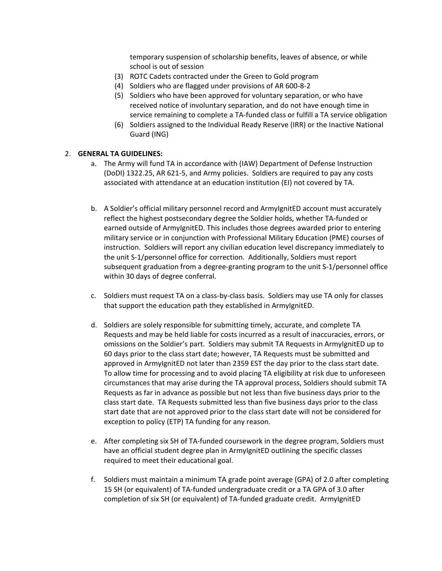temporary suspension of scholarship benefits, leaves of absence, or while school is out of session

- (3) ROTC Cadets contracted under the Green to Gold program
- (4) Soldiers who are flagged under provisions of AR 600-8-2
- (5) Soldiers who have been approved for voluntary separation, or who have received notice of involuntary separation, and do not have enough time in service remaining to complete a TA-funded class or fulfill a TA service obligation
- (6) Soldiers assigned to the Individual Ready Reserve (IRR) or the Inactive National Guard (ING)

#### 2. **GENERAL TA GUIDELINES:**

- a. The Army will fund TA in accordance with (IAW) Department of Defense Instruction (DoDI) 1322.25, AR 621-5, and Army policies. Soldiers are required to pay any costs associated with attendance at an education institution (EI) not covered by TA.
- b. A Soldier's official military personnel record and ArmyIgnitED account must accurately reflect the highest postsecondary degree the Soldier holds, whether TA-funded or earned outside of ArmyIgnitED. This includes those degrees awarded prior to entering military service or in conjunction with Professional Military Education (PME) courses of instruction. Soldiers will report any civilian education level discrepancy immediately to the unit S-1/personnel office for correction. Additionally, Soldiers must report subsequent graduation from a degree-granting program to the unit S-1/personnel office within 30 days of degree conferral.
- c. Soldiers must request TA on a class-by-class basis. Soldiers may use TA only for classes that support the education path they established in ArmyIgnitED.
- d. Soldiers are solely responsible for submitting timely, accurate, and complete TA Requests and may be held liable for costs incurred as a result of inaccuracies, errors, or omissions on the Soldier's part. Soldiers may submit TA Requests in ArmyIgnitED up to 60 days prior to the class start date; however, TA Requests must be submitted and approved in ArmyIgnitED not later than 2359 EST the day prior to the class start date. To allow time for processing and to avoid placing TA eligibility at risk due to unforeseen circumstances that may arise during the TA approval process, Soldiers should submit TA Requests as far in advance as possible but not less than five business days prior to the class start date. TA Requests submitted less than five business days prior to the class start date that are not approved prior to the class start date will not be considered for exception to policy (ETP) TA funding for any reason.
- e. After completing six SH of TA-funded coursework in the degree program, Soldiers must have an official student degree plan in ArmyIgnitED outlining the specific classes required to meet their educational goal.
- f. Soldiers must maintain a minimum TA grade point average (GPA) of 2.0 after completing 15 SH (or equivalent) of TA-funded undergraduate credit or a TA GPA of 3.0 after completion of six SH (or equivalent) of TA-funded graduate credit. ArmyIgnitED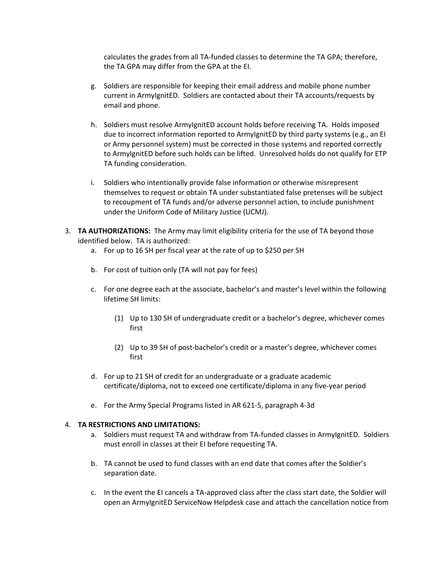calculates the grades from all TA-funded classes to determine the TA GPA; therefore, the TA GPA may differ from the GPA at the EI.

- g. Soldiers are responsible for keeping their email address and mobile phone number current in ArmyIgnitED. Soldiers are contacted about their TA accounts/requests by email and phone.
- h. Soldiers must resolve ArmyIgnitED account holds before receiving TA. Holds imposed due to incorrect information reported to ArmyIgnitED by third party systems (e.g., an EI or Army personnel system) must be corrected in those systems and reported correctly to ArmyIgnitED before such holds can be lifted. Unresolved holds do not qualify for ETP TA funding consideration.
- i. Soldiers who intentionally provide false information or otherwise misrepresent themselves to request or obtain TA under substantiated false pretenses will be subject to recoupment of TA funds and/or adverse personnel action, to include punishment under the Uniform Code of Military Justice (UCMJ).
- 3. **TA AUTHORIZATIONS:** The Army may limit eligibility criteria for the use of TA beyond those identified below. TA is authorized:
	- a. For up to 16 SH per fiscal year at the rate of up to \$250 per SH
	- b. For cost of tuition only (TA will not pay for fees)
	- c. For one degree each at the associate, bachelor's and master's level within the following lifetime SH limits:
		- (1) Up to 130 SH of undergraduate credit or a bachelor's degree, whichever comes first
		- (2) Up to 39 SH of post-bachelor's credit or a master's degree, whichever comes first
	- d. For up to 21 SH of credit for an undergraduate or a graduate academic certificate/diploma, not to exceed one certificate/diploma in any five-year period
	- e. For the Army Special Programs listed in AR 621-5, paragraph 4-3d

#### 4. **TA RESTRICTIONS AND LIMITATIONS:**

- a. Soldiers must request TA and withdraw from TA-funded classes in ArmyIgnitED. Soldiers must enroll in classes at their EI before requesting TA.
- b. TA cannot be used to fund classes with an end date that comes after the Soldier's separation date.
- c. In the event the EI cancels a TA-approved class after the class start date, the Soldier will open an ArmyIgnitED ServiceNow Helpdesk case and attach the cancellation notice from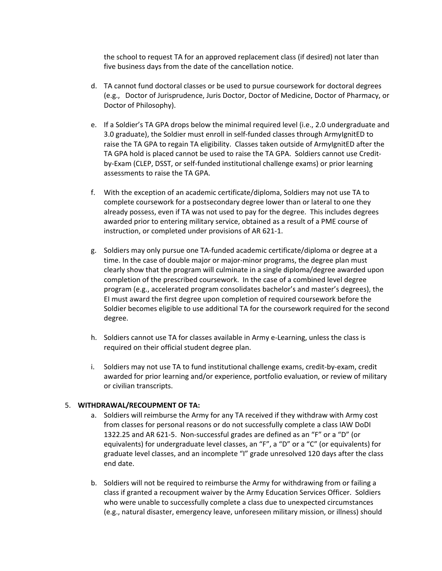the school to request TA for an approved replacement class (if desired) not later than five business days from the date of the cancellation notice.

- d. TA cannot fund doctoral classes or be used to pursue coursework for doctoral degrees (e.g., Doctor of Jurisprudence, Juris Doctor, Doctor of Medicine, Doctor of Pharmacy, or Doctor of Philosophy).
- e. If a Soldier's TA GPA drops below the minimal required level (i.e., 2.0 undergraduate and 3.0 graduate), the Soldier must enroll in self-funded classes through ArmyIgnitED to raise the TA GPA to regain TA eligibility. Classes taken outside of ArmyIgnitED after the TA GPA hold is placed cannot be used to raise the TA GPA. Soldiers cannot use Creditby-Exam (CLEP, DSST, or self-funded institutional challenge exams) or prior learning assessments to raise the TA GPA.
- f. With the exception of an academic certificate/diploma, Soldiers may not use TA to complete coursework for a postsecondary degree lower than or lateral to one they already possess, even if TA was not used to pay for the degree. This includes degrees awarded prior to entering military service, obtained as a result of a PME course of instruction, or completed under provisions of AR 621-1.
- g. Soldiers may only pursue one TA-funded academic certificate/diploma or degree at a time. In the case of double major or major-minor programs, the degree plan must clearly show that the program will culminate in a single diploma/degree awarded upon completion of the prescribed coursework. In the case of a combined level degree program (e.g., accelerated program consolidates bachelor's and master's degrees), the EI must award the first degree upon completion of required coursework before the Soldier becomes eligible to use additional TA for the coursework required for the second degree.
- h. Soldiers cannot use TA for classes available in Army e-Learning, unless the class is required on their official student degree plan.
- i. Soldiers may not use TA to fund institutional challenge exams, credit-by-exam, credit awarded for prior learning and/or experience, portfolio evaluation, or review of military or civilian transcripts.

### 5. **WITHDRAWAL/RECOUPMENT OF TA:**

- a. Soldiers will reimburse the Army for any TA received if they withdraw with Army cost from classes for personal reasons or do not successfully complete a class IAW DoDI 1322.25 and AR 621-5. Non-successful grades are defined as an "F" or a "D" (or equivalents) for undergraduate level classes, an "F", a "D" or a "C" (or equivalents) for graduate level classes, and an incomplete "I" grade unresolved 120 days after the class end date.
- b. Soldiers will not be required to reimburse the Army for withdrawing from or failing a class if granted a recoupment waiver by the Army Education Services Officer. Soldiers who were unable to successfully complete a class due to unexpected circumstances (e.g., natural disaster, emergency leave, unforeseen military mission, or illness) should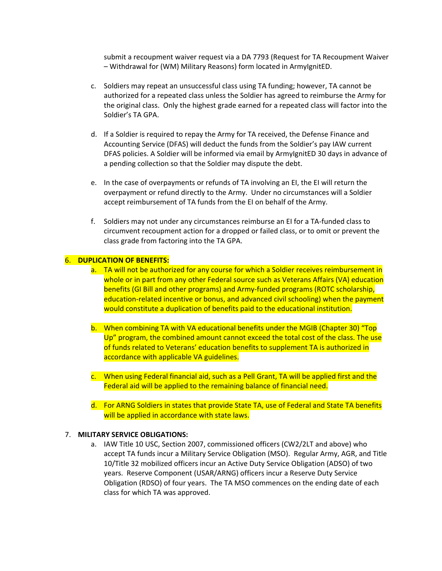submit a recoupment waiver request via a DA 7793 (Request for TA Recoupment Waiver – Withdrawal for (WM) Military Reasons) form located in ArmyIgnitED.

- c. Soldiers may repeat an unsuccessful class using TA funding; however, TA cannot be authorized for a repeated class unless the Soldier has agreed to reimburse the Army for the original class. Only the highest grade earned for a repeated class will factor into the Soldier's TA GPA.
- d. If a Soldier is required to repay the Army for TA received, the Defense Finance and Accounting Service (DFAS) will deduct the funds from the Soldier's pay IAW current DFAS policies. A Soldier will be informed via email by ArmyIgnitED 30 days in advance of a pending collection so that the Soldier may dispute the debt.
- e. In the case of overpayments or refunds of TA involving an EI, the EI will return the overpayment or refund directly to the Army. Under no circumstances will a Soldier accept reimbursement of TA funds from the EI on behalf of the Army.
- f. Soldiers may not under any circumstances reimburse an EI for a TA-funded class to circumvent recoupment action for a dropped or failed class, or to omit or prevent the class grade from factoring into the TA GPA.

#### 6. **DUPLICATION OF BENEFITS:**

- a. TA will not be authorized for any course for which a Soldier receives reimbursement in whole or in part from any other Federal source such as Veterans Affairs (VA) education benefits (GI Bill and other programs) and Army-funded programs (ROTC scholarship, education-related incentive or bonus, and advanced civil schooling) when the payment would constitute a duplication of benefits paid to the educational institution.
- b. When combining TA with VA educational benefits under the MGIB (Chapter 30) "Top Up" program, the combined amount cannot exceed the total cost of the class. The use of funds related to Veterans' education benefits to supplement TA is authorized in accordance with applicable VA guidelines.
- c. When using Federal financial aid, such as a Pell Grant, TA will be applied first and the Federal aid will be applied to the remaining balance of financial need.
- d. For ARNG Soldiers in states that provide State TA, use of Federal and State TA benefits will be applied in accordance with state laws.

#### 7. **MILITARY SERVICE OBLIGATIONS:**

a. IAW Title 10 USC, Section 2007, commissioned officers (CW2/2LT and above) who accept TA funds incur a Military Service Obligation (MSO). Regular Army, AGR, and Title 10/Title 32 mobilized officers incur an Active Duty Service Obligation (ADSO) of two years. Reserve Component (USAR/ARNG) officers incur a Reserve Duty Service Obligation (RDSO) of four years. The TA MSO commences on the ending date of each class for which TA was approved.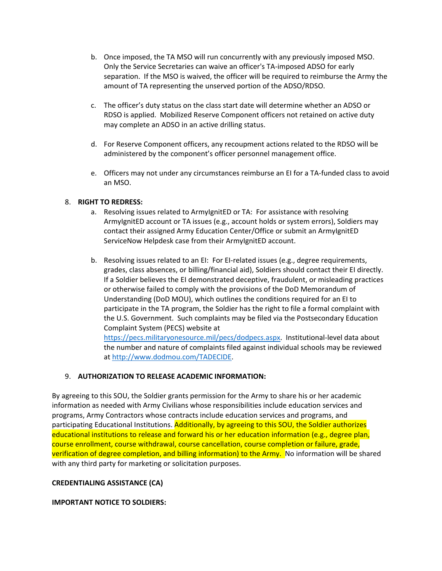- b. Once imposed, the TA MSO will run concurrently with any previously imposed MSO. Only the Service Secretaries can waive an officer's TA-imposed ADSO for early separation. If the MSO is waived, the officer will be required to reimburse the Army the amount of TA representing the unserved portion of the ADSO/RDSO.
- c. The officer's duty status on the class start date will determine whether an ADSO or RDSO is applied. Mobilized Reserve Component officers not retained on active duty may complete an ADSO in an active drilling status.
- d. For Reserve Component officers, any recoupment actions related to the RDSO will be administered by the component's officer personnel management office.
- e. Officers may not under any circumstances reimburse an EI for a TA-funded class to avoid an MSO.

### 8. **RIGHT TO REDRESS:**

- a. Resolving issues related to ArmyIgnitED or TA: For assistance with resolving ArmyIgnitED account or TA issues (e.g., account holds or system errors), Soldiers may contact their assigned Army Education Center/Office or submit an ArmyIgnitED ServiceNow Helpdesk case from their ArmyIgnitED account.
- b. Resolving issues related to an EI: For EI-related issues (e.g., degree requirements, grades, class absences, or billing/financial aid), Soldiers should contact their EI directly. If a Soldier believes the EI demonstrated deceptive, fraudulent, or misleading practices or otherwise failed to comply with the provisions of the DoD Memorandum of Understanding (DoD MOU), which outlines the conditions required for an EI to participate in the TA program, the Soldier has the right to file a formal complaint with the U.S. Government. Such complaints may be filed via the Postsecondary Education Complaint System (PECS) website at

[https://pecs.militaryonesource.mil/pecs/dodpecs.aspx.](https://pecs.militaryonesource.mil/pecs/dodpecs.aspx) Institutional-level data about the number and nature of complaints filed against individual schools may be reviewed at [http://www.dodmou.com/TADECIDE.](http://www.dodmou.com/TADECIDE)

### 9. **AUTHORIZATION TO RELEASE ACADEMIC INFORMATION:**

By agreeing to this SOU, the Soldier grants permission for the Army to share his or her academic information as needed with Army Civilians whose responsibilities include education services and programs, Army Contractors whose contracts include education services and programs, and participating Educational Institutions. Additionally, by agreeing to this SOU, the Soldier authorizes educational institutions to release and forward his or her education information (e.g., degree plan, course enrollment, course withdrawal, course cancellation, course completion or failure, grade, verification of degree completion, and billing information) to the Army. No information will be shared with any third party for marketing or solicitation purposes.

### **CREDENTIALING ASSISTANCE (CA)**

### **IMPORTANT NOTICE TO SOLDIERS:**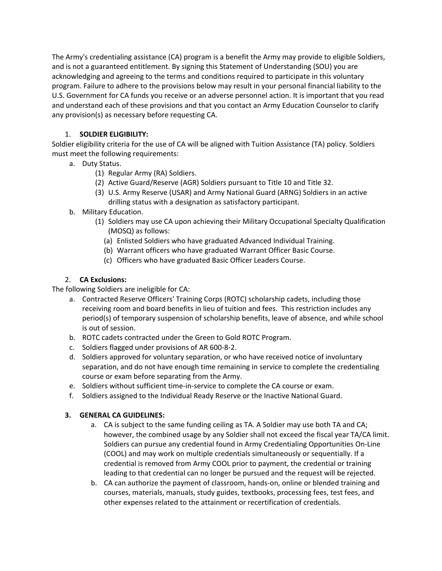The Army's credentialing assistance (CA) program is a benefit the Army may provide to eligible Soldiers, and is not a guaranteed entitlement. By signing this Statement of Understanding (SOU) you are acknowledging and agreeing to the terms and conditions required to participate in this voluntary program. Failure to adhere to the provisions below may result in your personal financial liability to the U.S. Government for CA funds you receive or an adverse personnel action. It is important that you read and understand each of these provisions and that you contact an Army Education Counselor to clarify any provision(s) as necessary before requesting CA.

# 1. **SOLDIER ELIGIBILITY:**

Soldier eligibility criteria for the use of CA will be aligned with Tuition Assistance (TA) policy. Soldiers must meet the following requirements:

- a. Duty Status.
	- (1) Regular Army (RA) Soldiers.
	- (2) Active Guard/Reserve (AGR) Soldiers pursuant to Title 10 and Title 32.
	- (3) U.S. Army Reserve (USAR) and Army National Guard (ARNG) Soldiers in an active drilling status with a designation as satisfactory participant.
- b. Military Education.
	- (1) Soldiers may use CA upon achieving their Military Occupational Specialty Qualification (MOSQ) as follows:
		- (a) Enlisted Soldiers who have graduated Advanced Individual Training.
		- (b) Warrant officers who have graduated Warrant Officer Basic Course.
		- (c) Officers who have graduated Basic Officer Leaders Course.

# 2. **CA Exclusions:**

The following Soldiers are ineligible for CA:

- a. Contracted Reserve Officers' Training Corps (ROTC) scholarship cadets, including those receiving room and board benefits in lieu of tuition and fees. This restriction includes any period(s) of temporary suspension of scholarship benefits, leave of absence, and while school is out of session.
- b. ROTC cadets contracted under the Green to Gold ROTC Program.
- c. Soldiers flagged under provisions of AR 600-8-2.
- d. Soldiers approved for voluntary separation, or who have received notice of involuntary separation, and do not have enough time remaining in service to complete the credentialing course or exam before separating from the Army.
- e. Soldiers without sufficient time-in-service to complete the CA course or exam.
- f. Soldiers assigned to the Individual Ready Reserve or the Inactive National Guard.

# **3. GENERAL CA GUIDELINES:**

- a. CA is subject to the same funding ceiling as TA. A Soldier may use both TA and CA; however, the combined usage by any Soldier shall not exceed the fiscal year TA/CA limit. Soldiers can pursue any credential found in Army Credentialing Opportunities On-Line (COOL) and may work on multiple credentials simultaneously or sequentially. If a credential is removed from Army COOL prior to payment, the credential or training leading to that credential can no longer be pursued and the request will be rejected.
- b. CA can authorize the payment of classroom, hands-on, online or blended training and courses, materials, manuals, study guides, textbooks, processing fees, test fees, and other expenses related to the attainment or recertification of credentials.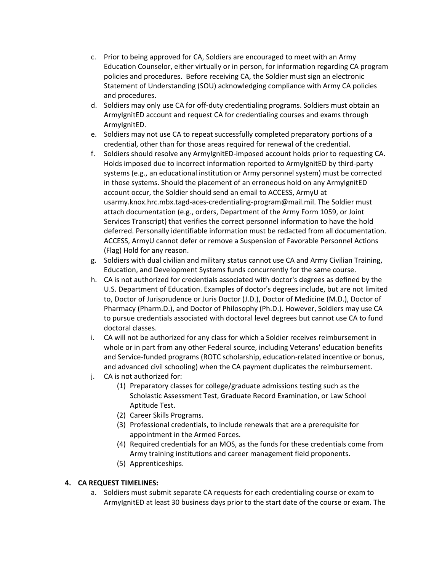- c. Prior to being approved for CA, Soldiers are encouraged to meet with an Army Education Counselor, either virtually or in person, for information regarding CA program policies and procedures. Before receiving CA, the Soldier must sign an electronic Statement of Understanding (SOU) acknowledging compliance with Army CA policies and procedures.
- d. Soldiers may only use CA for off-duty credentialing programs. Soldiers must obtain an ArmyIgnitED account and request CA for credentialing courses and exams through ArmyIgnitED.
- e. Soldiers may not use CA to repeat successfully completed preparatory portions of a credential, other than for those areas required for renewal of the credential.
- f. Soldiers should resolve any ArmyIgnitED-imposed account holds prior to requesting CA. Holds imposed due to incorrect information reported to ArmyIgnitED by third-party systems (e.g., an educational institution or Army personnel system) must be corrected in those systems. Should the placement of an erroneous hold on any ArmyIgnitED account occur, the Soldier should send an email to ACCESS, ArmyU at usarmy.knox.hrc.mbx.tagd-aces-credentialing-program@mail.mil. The Soldier must attach documentation (e.g., orders, Department of the Army Form 1059, or Joint Services Transcript) that verifies the correct personnel information to have the hold deferred. Personally identifiable information must be redacted from all documentation. ACCESS, ArmyU cannot defer or remove a Suspension of Favorable Personnel Actions (Flag) Hold for any reason.
- g. Soldiers with dual civilian and military status cannot use CA and Army Civilian Training, Education, and Development Systems funds concurrently for the same course.
- h. CA is not authorized for credentials associated with doctor's degrees as defined by the U.S. Department of Education. Examples of doctor's degrees include, but are not limited to, Doctor of Jurisprudence or Juris Doctor (J.D.), Doctor of Medicine (M.D.), Doctor of Pharmacy (Pharm.D.), and Doctor of Philosophy (Ph.D.). However, Soldiers may use CA to pursue credentials associated with doctoral level degrees but cannot use CA to fund doctoral classes.
- i. CA will not be authorized for any class for which a Soldier receives reimbursement in whole or in part from any other Federal source, including Veterans' education benefits and Service-funded programs (ROTC scholarship, education-related incentive or bonus, and advanced civil schooling) when the CA payment duplicates the reimbursement.
- j. CA is not authorized for:
	- (1) Preparatory classes for college/graduate admissions testing such as the Scholastic Assessment Test, Graduate Record Examination, or Law School Aptitude Test.
	- (2) Career Skills Programs.
	- (3) Professional credentials, to include renewals that are a prerequisite for appointment in the Armed Forces.
	- (4) Required credentials for an MOS, as the funds for these credentials come from Army training institutions and career management field proponents.
	- (5) Apprenticeships.

# **4. CA REQUEST TIMELINES:**

a. Soldiers must submit separate CA requests for each credentialing course or exam to ArmyIgnitED at least 30 business days prior to the start date of the course or exam. The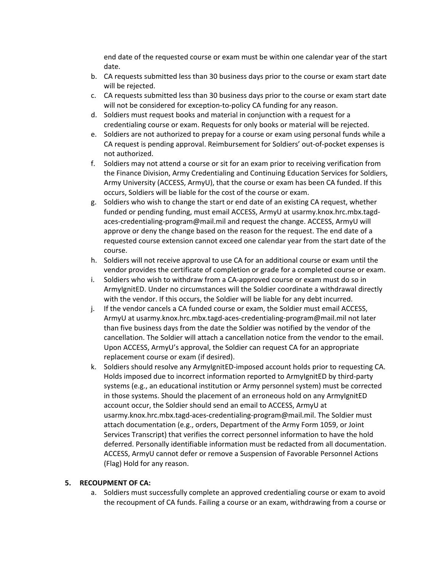end date of the requested course or exam must be within one calendar year of the start date.

- b. CA requests submitted less than 30 business days prior to the course or exam start date will be rejected.
- c. CA requests submitted less than 30 business days prior to the course or exam start date will not be considered for exception-to-policy CA funding for any reason.
- d. Soldiers must request books and material in conjunction with a request for a credentialing course or exam. Requests for only books or material will be rejected.
- e. Soldiers are not authorized to prepay for a course or exam using personal funds while a CA request is pending approval. Reimbursement for Soldiers' out-of-pocket expenses is not authorized.
- f. Soldiers may not attend a course or sit for an exam prior to receiving verification from the Finance Division, Army Credentialing and Continuing Education Services for Soldiers, Army University (ACCESS, ArmyU), that the course or exam has been CA funded. If this occurs, Soldiers will be liable for the cost of the course or exam.
- g. Soldiers who wish to change the start or end date of an existing CA request, whether funded or pending funding, must email ACCESS, ArmyU at usarmy.knox.hrc.mbx.tagdaces-credentialing-program@mail.mil and request the change. ACCESS, ArmyU will approve or deny the change based on the reason for the request. The end date of a requested course extension cannot exceed one calendar year from the start date of the course.
- h. Soldiers will not receive approval to use CA for an additional course or exam until the vendor provides the certificate of completion or grade for a completed course or exam.
- i. Soldiers who wish to withdraw from a CA-approved course or exam must do so in ArmyIgnitED. Under no circumstances will the Soldier coordinate a withdrawal directly with the vendor. If this occurs, the Soldier will be liable for any debt incurred.
- j. If the vendor cancels a CA funded course or exam, the Soldier must email ACCESS, ArmyU at usarmy.knox.hrc.mbx.tagd-aces-credentialing-program@mail.mil not later than five business days from the date the Soldier was notified by the vendor of the cancellation. The Soldier will attach a cancellation notice from the vendor to the email. Upon ACCESS, ArmyU's approval, the Soldier can request CA for an appropriate replacement course or exam (if desired).
- k. Soldiers should resolve any ArmyIgnitED-imposed account holds prior to requesting CA. Holds imposed due to incorrect information reported to ArmyIgnitED by third-party systems (e.g., an educational institution or Army personnel system) must be corrected in those systems. Should the placement of an erroneous hold on any ArmyIgnitED account occur, the Soldier should send an email to ACCESS, ArmyU at usarmy.knox.hrc.mbx.tagd-aces-credentialing-program@mail.mil. The Soldier must attach documentation (e.g., orders, Department of the Army Form 1059, or Joint Services Transcript) that verifies the correct personnel information to have the hold deferred. Personally identifiable information must be redacted from all documentation. ACCESS, ArmyU cannot defer or remove a Suspension of Favorable Personnel Actions (Flag) Hold for any reason.

### **5. RECOUPMENT OF CA:**

a. Soldiers must successfully complete an approved credentialing course or exam to avoid the recoupment of CA funds. Failing a course or an exam, withdrawing from a course or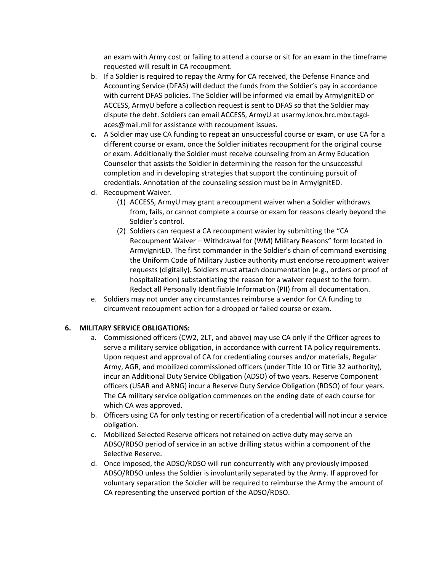an exam with Army cost or failing to attend a course or sit for an exam in the timeframe requested will result in CA recoupment.

- b. If a Soldier is required to repay the Army for CA received, the Defense Finance and Accounting Service (DFAS) will deduct the funds from the Soldier's pay in accordance with current DFAS policies. The Soldier will be informed via email by ArmyIgnitED or ACCESS, ArmyU before a collection request is sent to DFAS so that the Soldier may dispute the debt. Soldiers can email ACCESS, ArmyU at usarmy.knox.hrc.mbx.tagdaces@mail.mil for assistance with recoupment issues.
- **c.** A Soldier may use CA funding to repeat an unsuccessful course or exam, or use CA for a different course or exam, once the Soldier initiates recoupment for the original course or exam. Additionally the Soldier must receive counseling from an Army Education Counselor that assists the Soldier in determining the reason for the unsuccessful completion and in developing strategies that support the continuing pursuit of credentials. Annotation of the counseling session must be in ArmyIgnitED.
- d. Recoupment Waiver.
	- (1) ACCESS, ArmyU may grant a recoupment waiver when a Soldier withdraws from, fails, or cannot complete a course or exam for reasons clearly beyond the Soldier's control.
	- (2) Soldiers can request a CA recoupment wavier by submitting the "CA Recoupment Waiver – Withdrawal for (WM) Military Reasons" form located in ArmyIgnitED. The first commander in the Soldier's chain of command exercising the Uniform Code of Military Justice authority must endorse recoupment waiver requests (digitally). Soldiers must attach documentation (e.g., orders or proof of hospitalization) substantiating the reason for a waiver request to the form. Redact all Personally Identifiable Information (PII) from all documentation.
- e. Soldiers may not under any circumstances reimburse a vendor for CA funding to circumvent recoupment action for a dropped or failed course or exam.

### **6. MILITARY SERVICE OBLIGATIONS:**

- a. Commissioned officers (CW2, 2LT, and above) may use CA only if the Officer agrees to serve a military service obligation, in accordance with current TA policy requirements. Upon request and approval of CA for credentialing courses and/or materials, Regular Army, AGR, and mobilized commissioned officers (under Title 10 or Title 32 authority), incur an Additional Duty Service Obligation (ADSO) of two years. Reserve Component officers (USAR and ARNG) incur a Reserve Duty Service Obligation (RDSO) of four years. The CA military service obligation commences on the ending date of each course for which CA was approved.
- b. Officers using CA for only testing or recertification of a credential will not incur a service obligation.
- c. Mobilized Selected Reserve officers not retained on active duty may serve an ADSO/RDSO period of service in an active drilling status within a component of the Selective Reserve.
- d. Once imposed, the ADSO/RDSO will run concurrently with any previously imposed ADSO/RDSO unless the Soldier is involuntarily separated by the Army. If approved for voluntary separation the Soldier will be required to reimburse the Army the amount of CA representing the unserved portion of the ADSO/RDSO.